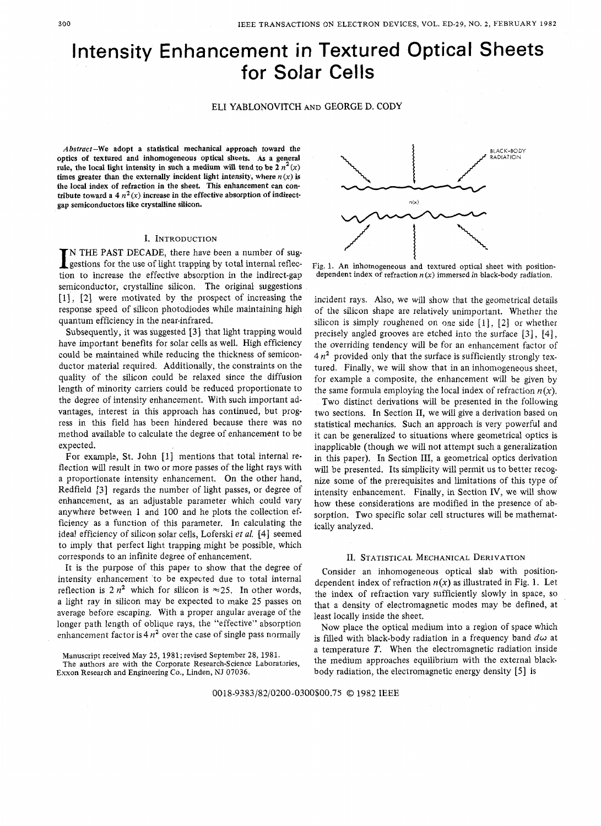# Intensity Enhancement in Textured Optical Sheets for Solar **Cells**

## ELI YABLONOVITCH AND GEORGE D. CODY

**Abstract-We adopt a statistical mechanical approach toward the optics of textured and inhomogeneous optical sheets. As a general**  rule, the local light intensity in such a medium will tend to be  $2n^2(x)$ times greater than the externally incident light intensity, where  $n(x)$  is **the local index of refraction in the sheet. This enhancement can con**tribute toward a 4  $n^2(x)$  increase in the effective absorption of indirect**gap semiconductors like crystalline silicon.** 

#### I. INTRODUCTION

IN THE PAST DECADE, there have been a number of suggestions for the use of light trapping by total internal reflection to increase the effective absorption in the indirection N THE PAST DECADE, there have been a number of sugtion to increase the effective absorption in the indirect-gap semiconductor, crystalline silicon, The original suggestions [l] , **[2]** were motivated by the prospect of increasing the response speed of silicon photodiodes while maintaining high quantum efficiency in the near-infrared.

Subsequently, it was suggested **[3]** that light trapping would have important benefits for solar cells as well. High efficiency could be maintained while reducing the thickness of semiconductor material required. Additionally, the constraints on the quality of the silicon could be relaxed since the diffusion length of minority carriers could be reduced proportionate to the degree of intensity enhancement. With such important advantages, interest in this approach has continued, but progress in this field has been hindered because there was no method available to calculate the degree of enhancement to be expected.

For example, St. John **[l]** mentions that total internal reflection will result in two or more passes of the light rays with a proportionate intensity enhancement. On the other hand, Redfield **[3]** regards the number of light passes, or degree of enhancement, as an adjustable parameter which could vary anywhere between 1 and 100 and he plots the collection efficiency as a function of this parameter. In calculating the ideal efficiency of silicon solar cells, Loferski *et al.* [4] seemed to imply that perfect light trapping might be possible, which corresponds to an infinite degree of enhancement.

It is the purpose of this paper to show that the degree of intensity enhancement 'to be expected due to total internal reflection is  $2n^2$  which for silicon is  $\approx 25$ . In other words, a light ray in silicon may be expected to make 25 passes on average before escaping. With a proper angular average of the longer path length of oblique rays, the "effective" absorption enhancement factor is  $4n^2$  over the case of single pass normally

**The authors are with the Corporate Research-Science Laboratories, Exxon Research and Engineering** Co., **Linden,** NJ **07036.** 



**Fig.** 1. An **inhomogeneous and textured optical sheet with position**dependent index of refraction  $n(x)$  immersed in black-body radiation.

incident rays. *Also,* we will show that the geometrical details of the silicon shape are relatively unimportant. Whether the silicon is simply roughened on one side [l], **[2]** or whether precisely angled grooves are etched into the surface *[3],* [4], the overriding tendency will be for an enhancement factor of 4 *n2* provided only that the surface is sufficiently strongly textured. Finally, we will show that in an inhomogeneous sheet, for example a composite, the enhancement will be given by the same formula employing the local index of refraction  $n(x)$ .

Two distinct derivations will be presented in the following two sections. In Section 11, we will give a derivation based on statistical mechanics. Such an approach is very powerful and it can be generalized to situations where geometrical optics is inapplicable (though we will not attempt such a generalization in this paper). In Section 111, a geometrical optics derivation will be presented. Its simplicity will permit us to better recognize some of the prerequisites and limitations of this type of intensity enhancement. Finally, in Section IV, we will show how these considerations are modified in the presence of absorption. Two specific solar cell structures will be mathematically analyzed.

#### II. STATISTICAL MECHANICAL DERIVATION

Consider an inhomogeneous optical slab with positiondependent index of refraction  $n(x)$  as illustrated in Fig. 1. Let the index of refraction vary sufficiently slowly in space, so that a density of electromagnetic modes may be defined, at least locally inside the sheet.

Now place the optical medium into a region of space which is filled with black-body radiation in a frequency band  $d\omega$  at a temperature *T.* When the electromagnetic radiation inside the medium approaches equilibrium with the external blackbody radiation, the electromagnetic energy density [5] is

**Manuscript received May 25, 1981; revised September 28,** 1981.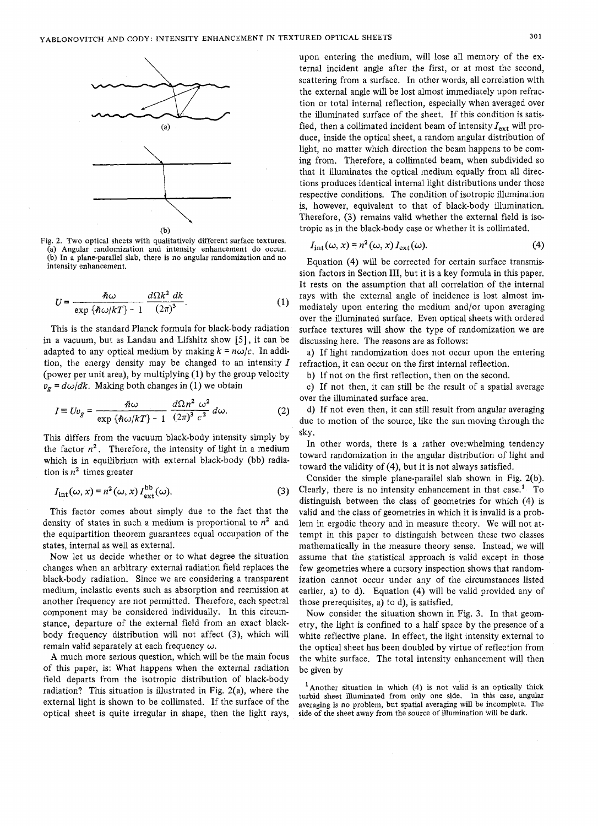

Fig. **2.** Two optical sheets with qualitatively different surface textures. (a) Angular randomization and intensity enhancement do occur. (b) In a plane-parallel slab, there is no angular randomization and no intensity enhancement.

$$
U = \frac{\hbar \omega}{\exp \{\hbar \omega / kT\} - 1} \frac{d\Omega k^2 dk}{(2\pi)^3}.
$$
 (1)

This is the standard Planck formula for black-body radiation in a vacuum, but as Landau and Lifshitz show  $[5]$ , it can be adapted to any optical medium by making  $k = n\omega/c$ . In addition, the energy density may be changed to an intensity *I*  (power per unit area), by multiplying (1) by the group velocity  $v_g = d\omega/dk$ . Making both changes in (1) we obtain

$$
I \equiv Uv_g = \frac{\hbar \omega}{\exp \{\hbar \omega / kT\} - 1} \frac{d\Omega n^2 \omega^2}{(2\pi)^3 c^2} d\omega.
$$
 (2)

This differs from the vacuum black-body intensity simply by the factor  $n^2$ . Therefore, the intensity of light in a medium which is in equilibrium with external black-body (bb) radiation is  $n^2$  times greater

$$
I_{\rm int}(\omega, x) = n^2(\omega, x) I_{\rm ext}^{\rm bb}(\omega).
$$
 (3)

This factor comes about simply due to the fact that the density of states in such a medium is proportional to *n2* and the equipartition theorem guarantees equal occupation of the states, internal as well as external.

Now let us decide whether or to what degree the situation changes when an arbitrary external radiation field replaces the black-body radiation. Since we are considering a transparent medium, inelastic events such as absorption and reemission at another frequency are not permitted. Therefore, each spectral component may be considered individually. In this circumstance, departure of the external field from an exact blackbody frequency distribution will not affect (3), which will remain valid separately at each frequency *w.* 

**A** much more serious question, which will be the main focus of this paper, is: What happens when the external radiation field departs from the isotropic distribution of black-body radiation? This situation is illustrated in Fig.  $2(a)$ , where the external light is shown to be collimated. If the surface of the optical sheet is quite irregular in shape, then the light rays,

upon entering the medium, will lose all memory of the external incident angle after the first, or at most the second, scattering from a surface. In other words, all correlation with the external angle will be lost almost immediately upon refraction or total internal reflection, especially when averaged over the illuminated surface of the sheet. If this condition is satisfied, then a collimated incident beam of intensity *Iext* will produce, inside the optical sheet, a random angular distribution of light, no matter which direction the beam happens to be coming from. Therefore, a collimated beam, when subdivided so that it illuminates the optical medium equally from all directions produces identical internal light distributions under those respective conditions. The condition of isotropic illumination is, however, equivalent to that of black-body illumination. Therefore, **(3)** remains valid whether the external field is isotropic as in the black-body case or whether it is collimated.

$$
I_{\rm int}(\omega, x) = n^2(\omega, x) I_{\rm ext}(\omega).
$$
 (4)

Equation (4) will be corrected for certain surface transmission factors in Section 111, but it is a key formula in this paper. It rests on the assumption that all correlation of the internal rays with the external angle of incidence is lost almost immediately upon entering the medium and/or upon averaging over the illuminated surface. Even optical sheets with ordered surface textures will show the type of randomization we are discussing here. The reasons are as follows:

a) If light randomization does not occur upon the entering refraction, it can occur on the first internal reflection.

b) If not on the first reflection, then on the second.

c) If not then, it can still be the result of a spatial average over the illuminated surface area.

d) If not even then, it can still result from angular averaging due to motion of the source, like the sun moving through the sky.

In other words, there is a rather overwhelming tendency toward randomization in the angular distribution of light and toward the validity of (4), but it is not always satisfied.

Consider the simple plane-parallel slab shown in Fig. 2(b). Clearly, there is no intensity enhancement in that case.' To distinguish between the class of geometries for which (4) is valid and the class of geometries in which it is invalid is a problem in ergodic theory and in measure theory. We will not attempt in this paper to distinguish between these two classes mathematically in the measure theory sense. Instead, we will assume that the statistical approach is valid except in those few geometries where a cursory inspection shows that randomization cannot occur under any of the circumstances listed earlier, a) to d). Equation (4) will be valid provided any of those prerequisites, a) to d), is satisfied.

Now consider the situation shown in Fig. 3. In that geometry, the light is confined to a half space by the presence of a white reflective plane. In effect, the light intensity external to the optical sheet has been doubled by virtue of reflection from the white surface. The total intensity enhancement will then be given by

'Another situation in which **(4)** is not valid **is** an optically thick turbid sheet illuminated from only one side. In this case, angular averaging is no problem, but spatial averaging will be incomplete. The side of the sheet away from the source of illumination will be dark.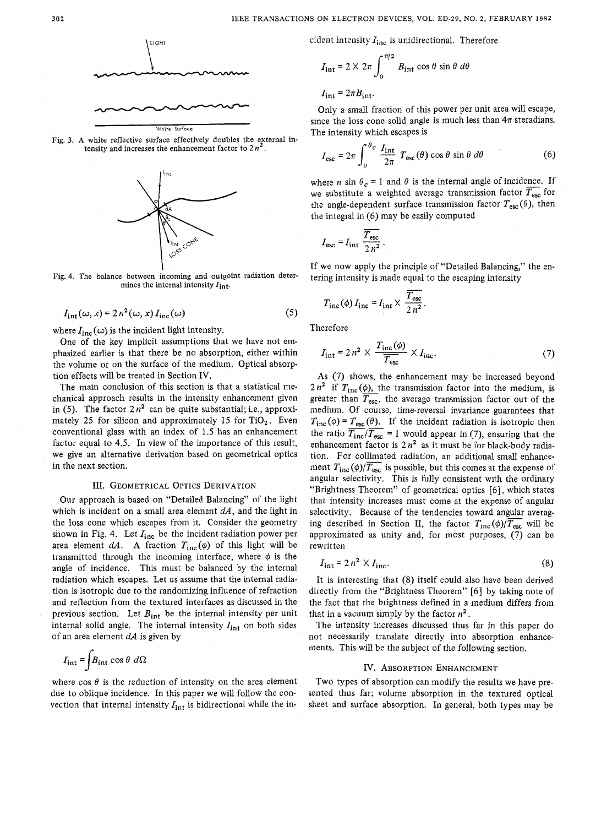

Fig. **3. A** white reflective surface effectively doubles the external intensity and increases the enhancement factor to **2** *n'.* 



Fig. **4.** The balance between incoming and outgoint radiation determines the internal intensity  $I_{int}$ .

$$
I_{\rm int}(\omega, x) = 2 n^2(\omega, x) I_{\rm inc}(\omega)
$$
 (5)

where  $I_{inc}(\omega)$  is the incident light intensity.

One of the key implicit assumptions that we have not emphasized earlier is that there be no absorption, either within the volume or on the surface of the medium. Optical absorption effects will be treated in Section IV.

The main conclusion of this section is that a statistical mechanical approach results in the intensity enhancement given in (5). The factor  $2n^2$  can be quite substantial; i.e., approximately 25 for silicon and approximately 15 for  $TiO<sub>2</sub>$ . Even conventional glass with an index of 1.5 has an enhancement factor equal to 4.5. In view of the importance of this result, we give an alternative derivation based on geometrical optics in the next section.

#### III. GEOMETRICAL OPTICS DERIVATION

Our approach is based on "Detailed Balancing" of the light which is incident on a small area element *dA,* and the light in the loss cone which escapes from it. Consider the geometry shown in Fig. 4. Let *Iinc* be the incident radiation power per area element  $dA$ . A fraction  $T_{inc}(\phi)$  of this light will be transmitted through the incoming interface, where  $\phi$  is the angle of incidence. This must be balanced by the internal radiation which escapes. Let us assume that the internal radiation is isotropic due to the randomizing influence of refraction and reflection from the textured interfaces as discussed in the previous section. Let  $B_{int}$  be the internal intensity per unit internal solid angle. The internal intensity *Iint* on both sides of an area element **dA** is given by

$$
I_{\rm int} = \int B_{\rm int} \cos \theta \ d\Omega
$$

where  $\cos \theta$  is the reduction of intensity on the area element due to oblique incidence. In this paper we will follow the convection that internal intensity  $I_{int}$  is bidirectional while the incident intensity  $I_{inc}$  is unidirectional. Therefore

$$
I_{\text{int}} = 2 \times 2\pi \int_0^{\pi/2} B_{\text{int}} \cos \theta \sin \theta \ d\theta
$$

 $I_{\text{int}} = 2\pi B_{\text{int}}$ .

Only a small fraction of this power per unit area will escape, The intensity which escapes is

since the loss cone solid angle is much less than 
$$
4\pi
$$
 steradians.  
The intensity which escapes is  

$$
I_{\text{esc}} = 2\pi \int_0^{\theta_C} \frac{I_{\text{int}}}{2\pi} T_{\text{esc}}(\theta) \cos \theta \sin \theta d\theta
$$
(6)

where *n* sin  $\theta_c = 1$  and  $\theta$  is the internal angle of incidence. If we substitute a weighted average transmission factor  $\overline{T_{\text{esc}}}$  for the angle-dependent surface transmission factor  $T_{\rm esc} (\theta),$  then the integral in (6) may be easily computed a weight<br>endent s<br>(6) may<br> $\overline{T_{\rm esc}}$ 

$$
I_{\rm esc} = I_{\rm int} \frac{\overline{T_{\rm esc}}}{2 n^2} \, .
$$

If we now apply the principle of "Detailed Balancing," the entering intensity is made equal to the escaping intensity

$$
T_{\text{inc}}(\phi) I_{\text{inc}} = I_{\text{int}} \times \frac{\overline{T_{\text{esc}}}}{2 n^2}.
$$

Therefore

$$
I_{\text{int}} = 2 n^2 \times \frac{T_{\text{inc}}(\phi)}{T_{\text{esc}}} \times I_{\text{inc}}.\tag{7}
$$

**As** (7) shows, the enhancement may be increased beyond  $2n^2$  if  $T_{\text{inc}}(\phi)$ , the transmission factor into the medium, is As (7) shows, the enhancement may be increased beyond  $2n^2$  if  $T_{\text{inc}}(\phi)$ , the transmission factor into the medium, is greater than  $\overline{T_{\text{esc}}}$ , the average transmission factor out of the medium. Of course, time-rever medium. Of course, time-reversal invariance guarantees that  $T_{\text{inc}}(\phi) = T_{\text{esc}}(\theta)$ . If the incident radiation is isotropic then  $2n^2$  if  $T_{\text{inc}}(\phi)$ , the transmission factor into the medium, is greater than  $\overline{T}_{\text{esc}}$ , the average transmission factor out of the medium. Of course, time-reversal invariance guarantees that  $T_{\text{inc}}(\phi) = T_{\text{esc}}(\theta)$ enhancement factor is  $2n^2$  as it must be for black-body radiation. For collimated radiation, an additional small enhancement  $T_{\text{inc}}(\phi)/\overline{T_{\text{esc}}}$  is possible, but this comes at the expense of angular selectivity. This is fully consistent with the ordinary "Brightness Theorem" of geometrical optics *[6],* which states that intensity increases must come at the expense of angular selectivity. Because of the tendencies toward angular averaging described in Section II, the factor  $T_{\text{inc}}(\phi)/\overline{T_{\text{esc}}}$  will be approximated as unity and, for most purposes, (7) can be rewritten

$$
I_{\text{int}} = 2 n^2 \times I_{\text{inc}}.\tag{8}
$$

It is interesting that (8) itself could also have been derived directly from the "Brightness Theorem" [6] by taking note of the fact that the brightness defined in a medium differs from that in a vacuum simply by the factor *n'* .

The intensity increases discussed thus far in this paper do not necessarily translate directly into absorption enhancements. This will be the subject of the following section.

### IV. ABSORPTION ENHANCEMENT

Two types of absorption can modify the results we have presented thus far; volume absorption in the textured optical sheet and surface absorption. In general, both types may be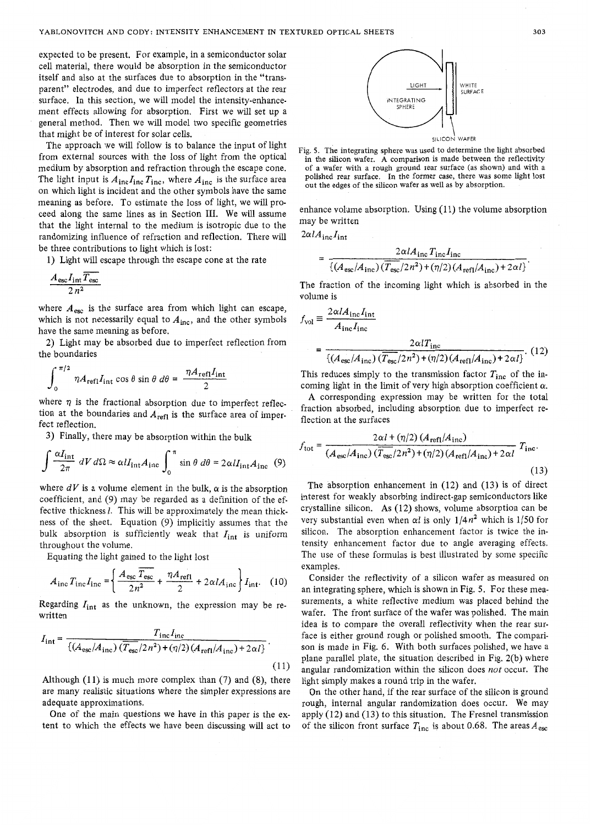expected to be present. For example, in a semiconductor solar cell material, there would be absorption in the semiconductor itself and also at the surfaces due to absorption in the "transparent" electrodes, and due to imperfect reflectors at the rear surface. In this section, we will model the intensity-enhancement effects allowing for absorption. First we will set up a general method. Then we will model two specific geometries that might be of interest for solar cells.

The approach we will follow is to balance the input of light from external sources with the loss of light from the optical medium by absorption and refraction through the escape cone. The light input is  $A_{\text{inc}}I_{\text{inc}}$ , where  $A_{\text{inc}}$  is the surface area on which light is incident and the other symbols have the same meaning as before. To estimate the loss of light, we will proceed along the same lines as in Section 111. We will assume that the light internal to the medium is isotropic due to the randomizing influence of refraction and reflection. There will be three contributions to light which is lost:

1) Light will escape through the escape cone at the rate

$$
\frac{A_{\rm esc}I_{\rm int}\overline{T_{\rm esc}}}{2\,n^2}
$$

where  $A_{\rm esc}$  is the surface area from which light can escape, which is not necessarily equal to  $A_{inc}$ , and the other symbols have the same meaning as before.

**2)** Light may be absorbed due to imperfect reflection from the boundaries

$$
\int_0^{\pi/2} \eta A_{\text{refl}} I_{\text{int}} \cos \theta \sin \theta \, d\theta = \frac{\eta A_{\text{refl}} I_{\text{int}}}{2}
$$

where  $\eta$  is the fractional absorption due to imperfect reflection at the boundaries and  $A_{refl}$  is the surface area of imperfect reflection.

3) Finally, there may be absorption within the bulk

$$
\int \frac{\alpha I_{\text{int}}}{2\pi} dV d\Omega \approx \alpha I I_{\text{int}} A_{\text{inc}} \int_0^{\pi} \sin \theta \, d\theta = 2\alpha I I_{\text{int}} A_{\text{inc}} \tag{9}
$$

where  $dV$  is a volume element in the bulk,  $\alpha$  is the absorption coefficient, and *(9)* may be regarded as a definition of the effective thickness *1.* This will be approximately the mean thickness of the sheet. Equation *(9)* implicitly assumes that the bulk absorption is sufficiently weak that  $I_{int}$  is uniform throughout the volume.

Equating the light gained to the light lost

$$
A_{\rm inc} T_{\rm inc} I_{\rm inc} = \left\{ \frac{A_{\rm esc} T_{\rm esc}}{2n^2} + \frac{\eta A_{\rm ref1}}{2} + 2\alpha l A_{\rm inc} \right\} I_{\rm int.}
$$
 (10)

Regarding  $I_{int}$  as the unknown, the expression may be rewritten

$$
I_{\rm int} = \frac{T_{\rm inc} I_{\rm inc}}{\left\{ \left( A_{\rm esc} / A_{\rm inc} \right) \left( \overline{T_{\rm esc}} / 2 n^2 \right) + \left( \eta / 2 \right) \left( A_{\rm ref1} / A_{\rm inc} \right) + 2 \alpha l \right\}}.
$$
\n(11)

Although  $(11)$  is much more complex than  $(7)$  and  $(8)$ , there are many realistic situations where the simpler expressions are adequate approximations.

One of the main questions we have in this paper is the extent to which the effects we have been discussing will act to



Fig. **5.** The integrating sphere was used to determine the light absorbed in the silicon wafer. **A** comparison is made between the reflectivity of a wafer with a rough ground rear surface (as shown) and with a polished rear surface. In the former case, there was some light lost out the edges of the silicon wafer as well as by absorption.

enhance volume absorption. Using  $(11)$  the volume absorption may be written

$$
2\alpha l A_{\rm inc} I_{\rm int}
$$

$$
= \frac{2\alpha l A_{\rm inc} T_{\rm inc} l_{\rm inc}}{\{(A_{\rm esc}/A_{\rm inc}) \, (\overline{T_{\rm esc}/2 n^2}) + (\eta/2) \, (A_{\rm ref1}/A_{\rm inc}) + 2\alpha l\}}
$$

The fraction of the incoming light which is absorbed in the volume is

$$
f_{\text{vol}} \equiv \frac{2\alpha l A_{\text{inc}} I_{\text{int}}}{A_{\text{inc}} I_{\text{inc}}}
$$

$$
= \frac{2\alpha l T_{\text{inc}}}{\left\{ (A_{\text{esc}}/A_{\text{inc}}) \left( \overline{T_{\text{esc}}/2n^2 \right) + (\eta/2) \left( A_{\text{refl}}/A_{\text{inc}} \right) + 2\alpha l \right\}}. (12)
$$

This reduces simply to the transmission factor  $T_{inc}$  of the incoming light in the limit of very high absorption coefficient  $\alpha$ .

**A** corresponding expression may be written for the total fraction absorbed, including absorption due to imperfect reflection at the surfaces

$$
f_{\text{tot}} = \frac{2\alpha l + (\eta/2) (A_{\text{refl}}/A_{\text{inc}})}{(A_{\text{esc}}/A_{\text{inc}}) (\overline{T_{\text{esc}}}/2n^2) + (\eta/2) (A_{\text{refl}}/A_{\text{inc}}) + 2\alpha l} T_{\text{inc}}.
$$
\n(13)

The absorption enhancement in (12) and (13) is of direct interest for weakly absorbing indirect-gap semiconductors like crystalline silicon. **As** (12) shows, volume absorption can be very substantial even when  $\alpha l$  is only  $1/4n^2$  which is 1/50 for silicon. The absorption enhancement factor is twice the intensity enhancement factor due to angle averaging effects. The use of these formulas is best illustrated by some specific examples.

Consider the reflectivity of a silicon wafer as measured on an integrating sphere, which is shown in Fig. *5.* For these measurements, a white reflective medium was placed behind the wafer. The front surface of the wafer was polished. The main idea is to compare the overall reflectivity when the rear surface is either ground rough or polished smooth. The comparison is made in Fig. 6. With both surfaces polished, we have a plane parallel plate, the situation described in Fig. 2(b) where angular randomization within the silicon does *not* occur. The light simply makes a round trip in the wafer.

On the other hand, if the rear surface of the silicon is ground rough, internal angular randomization does occur. We may apply (12) and (13) to this situation. The Fresnel transmission of the silicon front surface  $T_{\text{inc}}$  is about 0.68. The areas  $A_{\text{esc}}$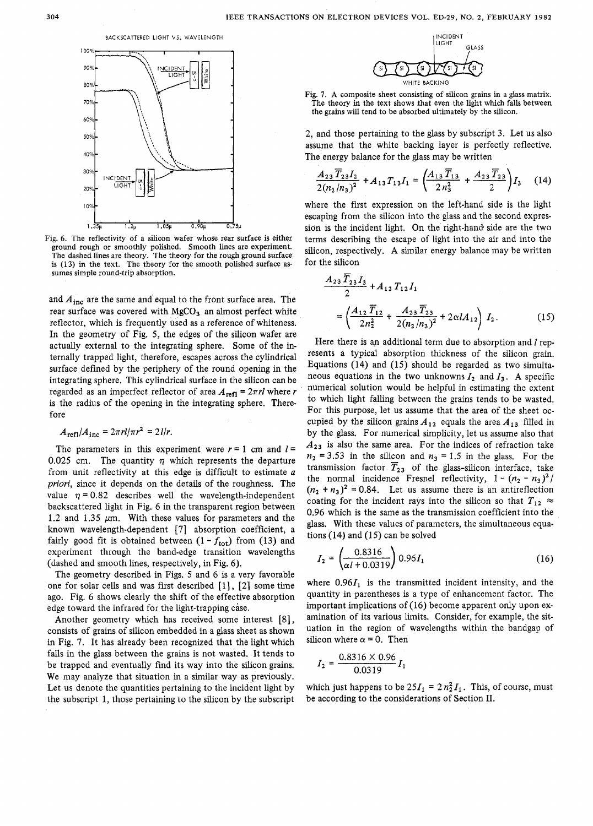BACKSCATTERED LIGHT VS. WAVELENGTH



Fig. 6. The reflectivity of a silicon wafer whose rear surface is either ground rough or smoothly polished. Smooth lines are experiment. The dashed lines are theory. The theory for the rough ground surface is **(13)** in the text. The theory for the smooth polished surface assumes simple round-trip absorption.

and  $A_{inc}$  are the same and equal to the front surface area. The rear surface was covered with  $MgCO<sub>3</sub>$  an almost perfect white reflector, which is frequently used as a reference of whiteness. In the geometry of Fig. 5, the edges of the silicon wafer are actually external to the integrating sphere. Some of the internally trapped light, therefore, escapes across the cylindrical surface defined by the periphery of the round opening in the integrating sphere. This cylindrical surface in the silicon can be regarded as an imperfect reflector of area  $A_{\text{refl}} = 2\pi rl$  where r is the radius of the opening in the integrating sphere. Therefore

$$
A_{\text{refl}}/A_{\text{inc}} = 2\pi r l/\pi r^2 = 2l/r.
$$

The parameters in this experiment were  $r = 1$  cm and  $l =$ 0.025 cm. The quantity  $\eta$  which represents the departure from unit reflectivity at this edge is difficult to estimate *a*  priori, since it depends on the details of the roughness. The value  $\eta = 0.82$  describes well the wavelength-independent backscattered light in Fig. 6 in the transparent region between 1.2 and 1.35  $\mu$ m. With these values for parameters and the known wavelength-dependent **[7]** absorption coefficient, a fairly good fit is obtained between  $(1 - f_{\text{tot}})$  from (13) and experiment through the band-edge transition wavelengths (dashed and smooth lines, respectively, in Fig. 6).

The geometry described in Figs. 5 and 6 is a very favorable one for solar cells and was first described  $[1]$ ,  $[2]$  some time ago. Fig. 6 shows clearly the shift of the effective absorption edge toward the infrared for the light-trapping case.

Another geometry which has received some interest [8], consists of grains of silicon embedded in a glass sheet as shown in Fig. 7. It has already been recognized that the light which falls in the glass between the grains is not wasted. It tends to be trapped and eventually find its way into the silicon grains. We may analyze that situation in a similar way as previously. Let us denote the quantities pertaining to the incident light by the subscript 1, those pertaining to the silicon by the subscript



Fig. **7. A** composite sheet consisting of silicon grains in a glass matrix. The theory in the text shows that even the light which falls between the grains will tend to be absorbed ultimately by the silicon.

2, and those pertaining to the glass by subscript **3.** Let us also assume that the white backing layer is perfectly reflective. The energy balance for the glass may be written<br>  $A = \overline{T} \cdot I$ 

$$
\frac{A_{23}\overline{T}_{23}I_2}{2(n_2/n_3)^2} + A_{13}T_{13}I_1 = \left(\frac{A_{13}\overline{T}_{13}}{2n_3^2} + \frac{A_{23}\overline{T}_{23}}{2}\right)I_3 \quad (14)
$$

where the first expression on the left-hand side is the light escaping from the silicon into the glass and the second expression is the incident light. On the right-hand side are the two terms describing the escape of light into the air and into the silicon, respectively. **A** similar energy balance may be written for the silicon

$$
\frac{A_{23} \overline{T}_{23} I_3}{2} + A_{12} T_{12} I_1
$$
\n
$$
= \left( \frac{A_{12} \overline{T}_{12}}{2n_2^2} + \frac{A_{23} \overline{T}_{23}}{2(n_2/n_3)^2} + 2 \alpha I A_{12} \right) I_2.
$$
\n(15)

Here there is an additional term due to absorption and  $l$  represents a typical absorption thickness of the silicon grain. Equations (14) and (15) should be regarded as two simultaneous equations in the two unknowns  $I_2$  and  $I_3$ . A specific numerical solution would be helpful in estimating the extent to which light falling between the grains tends to be wasted. For this purpose, let us assume that the area of the sheet occupied by the silicon grains  $A_{12}$  equals the area  $A_{13}$  filled in by the glass. For numerical simplicity, let us assume also that *A23* is also the same area. For the indices of refraction take  $n_2$  = 3.53 in the silicon and  $n_3$  = 1.5 in the glass. For the transmission factor  $\overline{T}_{23}$  of the glass-silicon interface, take the normal incidence Fresnel reflectivity,  $1 - (n_2 - n_3)^2/$  $(n_2 + n_3)^2 = 0.84$ . Let us assume there is an antireflection coating for the incident rays into the silicon so that  $T_{12} \approx$ 0.96 which is the same as the transmission coefficient into the glass. With these values of parameters, the simultaneous equations  $(14)$  and  $(15)$  can be solved

$$
I_2 = \left(\frac{0.8316}{\alpha l + 0.0319}\right) 0.96 I_1 \tag{16}
$$

where  $0.96I_1$  is the transmitted incident intensity, and the quantity in parentheses is a type of enhancement factor. The important implications of (16) become apparent only upon examination of its various limits. Consider, for example, the situation in the region of wavelengths within the bandgap of silicon where  $\alpha = 0$ . Then

$$
I_2 = \frac{0.8316 \times 0.96}{0.0319} I_1
$$

which just happens to be  $25I_1 = 2 n_2^2 I_1$ . This, of course, must be according to the considerations of Section 11.